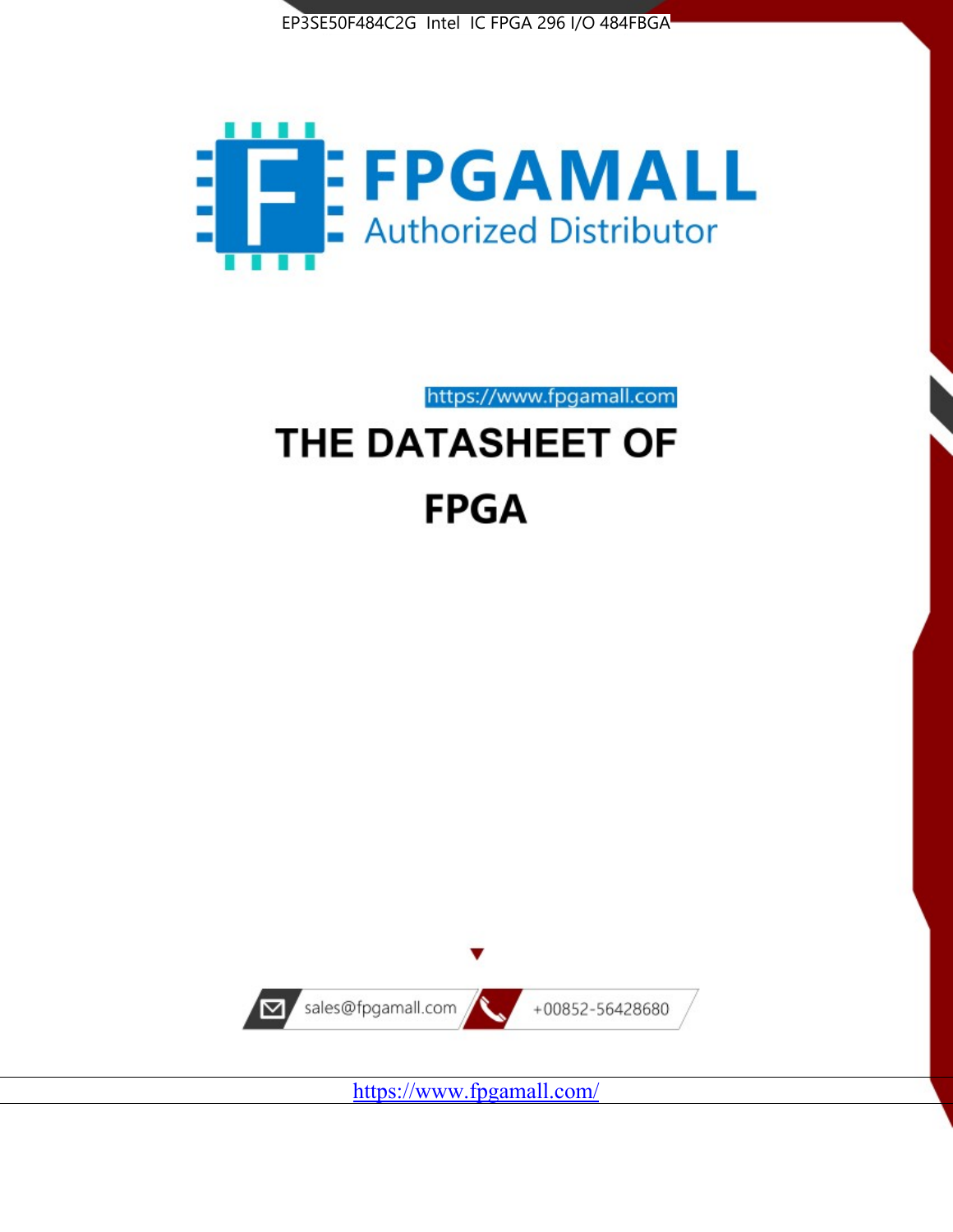



https://www.fpgamall.com

# THE DATASHEET OF **FPGA**



<https://www.fpgamall.com/>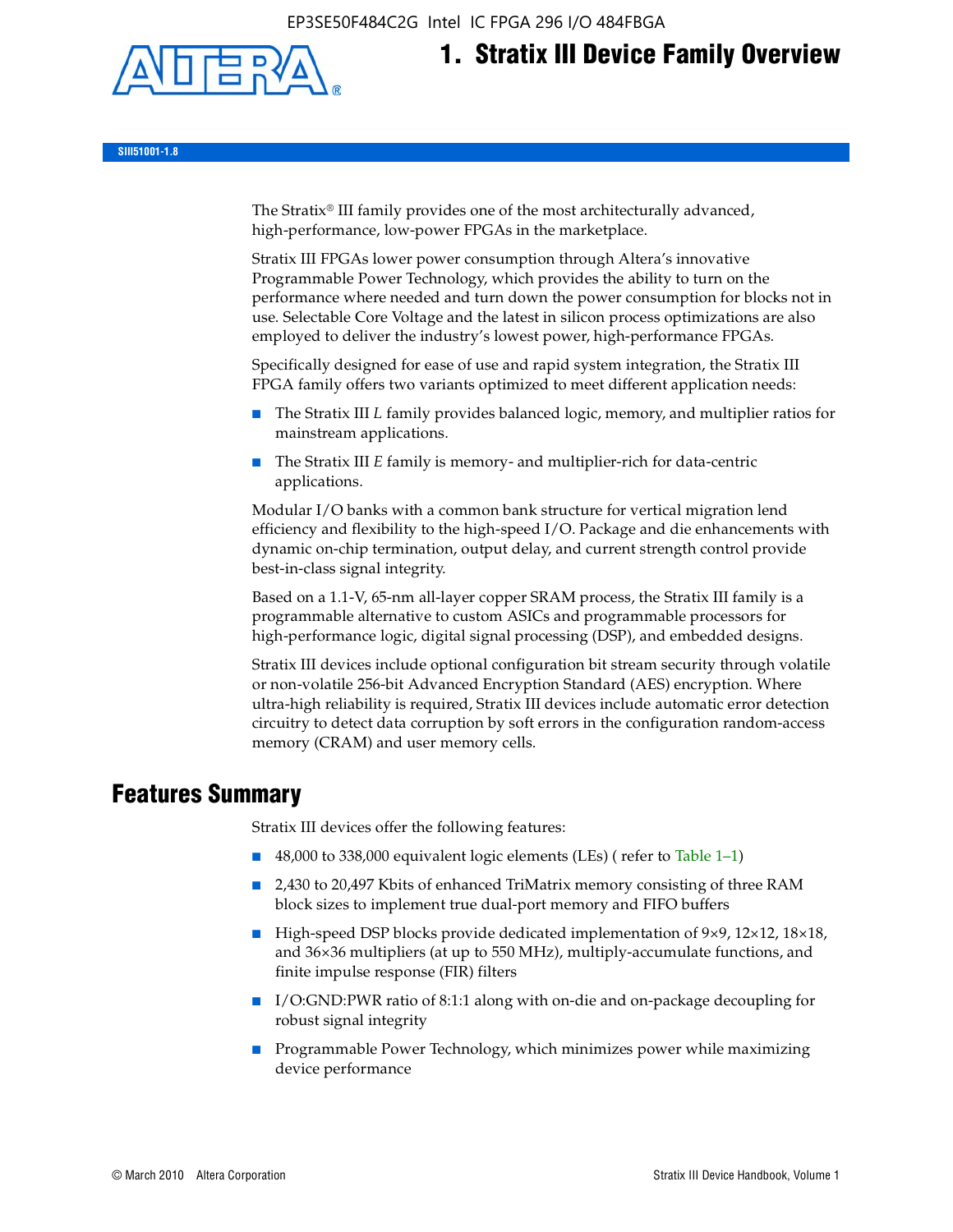EP3SE50F484C2G Intel IC FPGA 296 I/O 484FBGA



**1. Stratix III Device Family Overview**

**SIII51001-1.8**

The Stratix® III family provides one of the most architecturally advanced, high-performance, low-power FPGAs in the marketplace.

Stratix III FPGAs lower power consumption through Altera's innovative Programmable Power Technology, which provides the ability to turn on the performance where needed and turn down the power consumption for blocks not in use. Selectable Core Voltage and the latest in silicon process optimizations are also employed to deliver the industry's lowest power, high-performance FPGAs.

Specifically designed for ease of use and rapid system integration, the Stratix III FPGA family offers two variants optimized to meet different application needs:

- The Stratix III *L* family provides balanced logic, memory, and multiplier ratios for mainstream applications.
- The Stratix III *E* family is memory- and multiplier-rich for data-centric applications.

Modular I/O banks with a common bank structure for vertical migration lend efficiency and flexibility to the high-speed I/O. Package and die enhancements with dynamic on-chip termination, output delay, and current strength control provide best-in-class signal integrity.

Based on a 1.1-V, 65-nm all-layer copper SRAM process, the Stratix III family is a programmable alternative to custom ASICs and programmable processors for high-performance logic, digital signal processing (DSP), and embedded designs.

Stratix III devices include optional configuration bit stream security through volatile or non-volatile 256-bit Advanced Encryption Standard (AES) encryption. Where ultra-high reliability is required, Stratix III devices include automatic error detection circuitry to detect data corruption by soft errors in the configuration random-access memory (CRAM) and user memory cells.

# **Features Summary**

Stratix III devices offer the following features:

- 48,000 to 338,000 equivalent logic elements (LEs) (refer to Table 1–1)
- 2,430 to 20,497 Kbits of enhanced TriMatrix memory consisting of three RAM block sizes to implement true dual-port memory and FIFO buffers
- High-speed DSP blocks provide dedicated implementation of 9×9, 12×12, 18×18, and 36×36 multipliers (at up to 550 MHz), multiply-accumulate functions, and finite impulse response (FIR) filters
- I/O:GND:PWR ratio of 8:1:1 along with on-die and on-package decoupling for robust signal integrity
- Programmable Power Technology, which minimizes power while maximizing device performance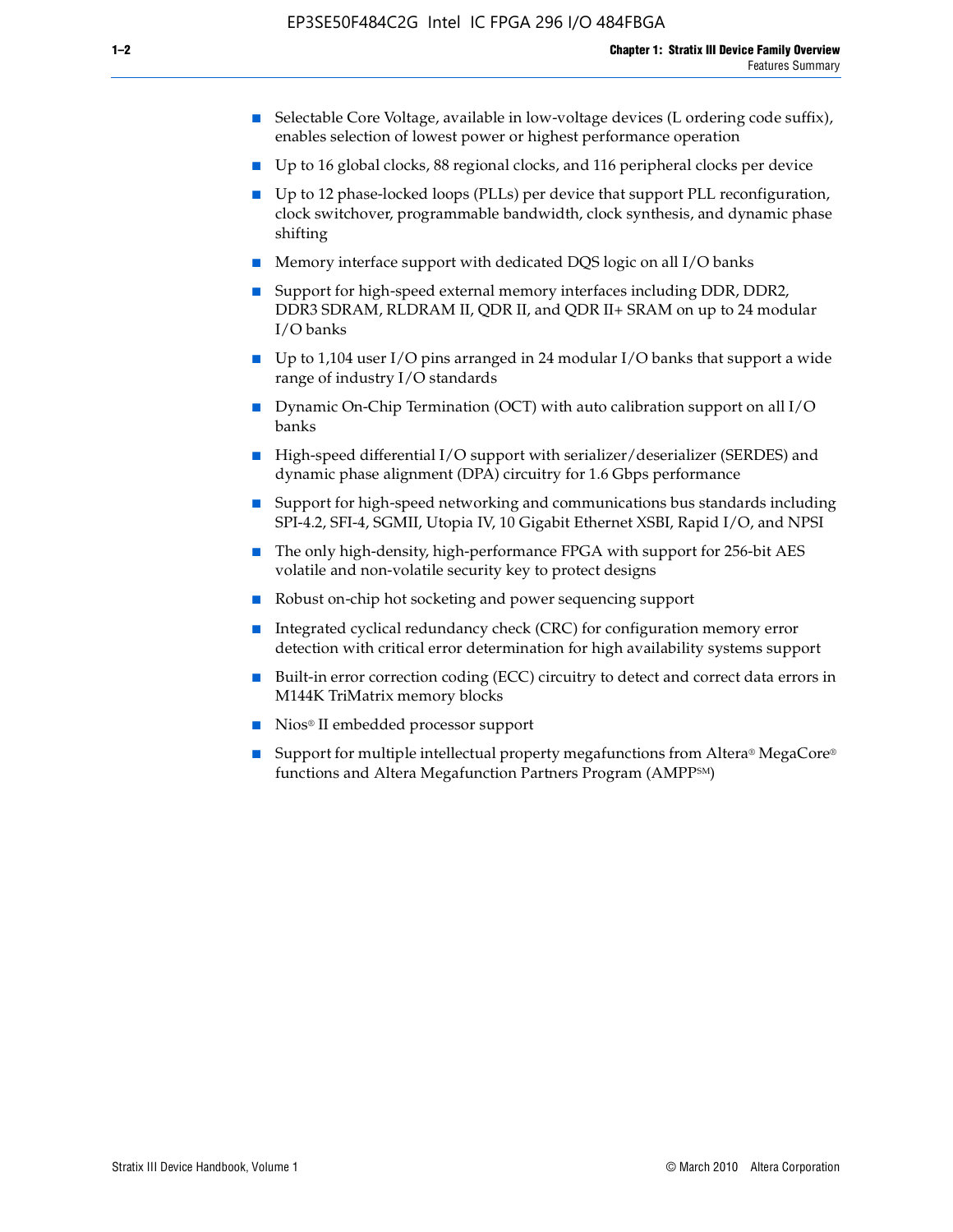- Selectable Core Voltage, available in low-voltage devices (L ordering code suffix), enables selection of lowest power or highest performance operation
- Up to 16 global clocks, 88 regional clocks, and 116 peripheral clocks per device
- Up to 12 phase-locked loops (PLLs) per device that support PLL reconfiguration, clock switchover, programmable bandwidth, clock synthesis, and dynamic phase shifting
- Memory interface support with dedicated DQS logic on all I/O banks
- Support for high-speed external memory interfaces including DDR, DDR2, DDR3 SDRAM, RLDRAM II, QDR II, and QDR II+ SRAM on up to 24 modular I/O banks
- Up to 1,104 user I/O pins arranged in 24 modular I/O banks that support a wide range of industry I/O standards
- Dynamic On-Chip Termination (OCT) with auto calibration support on all  $I/O$ banks
- High-speed differential I/O support with serializer/deserializer (SERDES) and dynamic phase alignment (DPA) circuitry for 1.6 Gbps performance
- Support for high-speed networking and communications bus standards including SPI-4.2, SFI-4, SGMII, Utopia IV, 10 Gigabit Ethernet XSBI, Rapid I/O, and NPSI
- The only high-density, high-performance FPGA with support for 256-bit AES volatile and non-volatile security key to protect designs
- Robust on-chip hot socketing and power sequencing support
- Integrated cyclical redundancy check (CRC) for configuration memory error detection with critical error determination for high availability systems support
- Built-in error correction coding (ECC) circuitry to detect and correct data errors in M144K TriMatrix memory blocks
- Nios<sup>®</sup> II embedded processor support
- Support for multiple intellectual property megafunctions from Altera® MegaCore® functions and Altera Megafunction Partners Program (AMPPSM)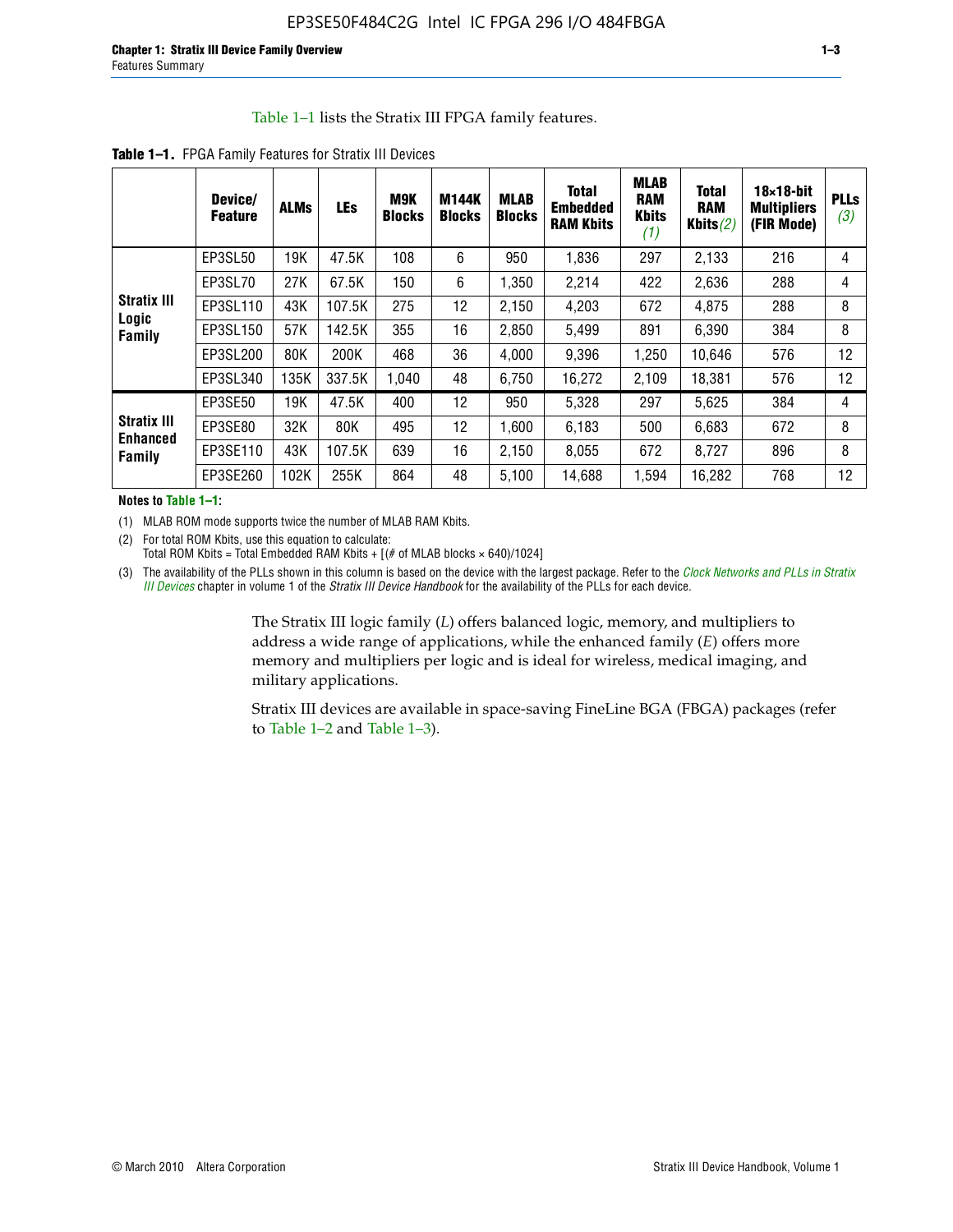#### Table 1–1 lists the Stratix III FPGA family features.

|                                          | Device/<br><b>Feature</b> | <b>ALMs</b> | <b>LEs</b> | <b>M9K</b><br><b>Blocks</b> | M144K<br><b>Blocks</b> | <b>MLAB</b><br><b>Blocks</b> | <b>Total</b><br><b>Embedded</b><br><b>RAM Kbits</b> | <b>MLAB</b><br><b>RAM</b><br><b>Kbits</b><br>(1) | <b>Total</b><br><b>RAM</b><br>Kbits $(2)$ | $18\times18$ -bit<br><b>Multipliers</b><br>(FIR Mode) | <b>PLLs</b><br>(3) |
|------------------------------------------|---------------------------|-------------|------------|-----------------------------|------------------------|------------------------------|-----------------------------------------------------|--------------------------------------------------|-------------------------------------------|-------------------------------------------------------|--------------------|
|                                          | EP3SL50                   | 19K         | 47.5K      | 108                         | 6                      | 950                          | 1,836                                               | 297                                              | 2,133                                     | 216                                                   | 4                  |
|                                          | EP3SL70                   | 27K         | 67.5K      | 150                         | 6                      | 1,350                        | 2,214                                               | 422                                              | 2,636                                     | 288                                                   | 4                  |
| <b>Stratix III</b>                       | EP3SL110                  | 43K         | 107.5K     | 275                         | 12                     | 2,150                        | 4,203                                               | 672                                              | 4,875                                     | 288                                                   | 8                  |
| Logic<br>Family                          | EP3SL150                  | 57K         | 142.5K     | 355                         | 16                     | 2,850                        | 5,499                                               | 891                                              | 6,390                                     | 384                                                   | 8                  |
|                                          | EP3SL200                  | 80K         | 200K       | 468                         | 36                     | 4,000                        | 9,396                                               | 1,250                                            | 10,646                                    | 576                                                   | 12                 |
|                                          | EP3SL340                  | 135K        | 337.5K     | 1,040                       | 48                     | 6,750                        | 16,272                                              | 2,109                                            | 18,381                                    | 576                                                   | 12                 |
|                                          | EP3SE50                   | 19K         | 47.5K      | 400                         | 12                     | 950                          | 5,328                                               | 297                                              | 5,625                                     | 384                                                   | 4                  |
| <b>Stratix III</b><br>Enhanced<br>Family | EP3SE80                   | 32K         | 80K        | 495                         | 12                     | 1,600                        | 6,183                                               | 500                                              | 6,683                                     | 672                                                   | 8                  |
|                                          | EP3SE110                  | 43K         | 107.5K     | 639                         | 16                     | 2,150                        | 8.055                                               | 672                                              | 8,727                                     | 896                                                   | 8                  |
|                                          | EP3SE260                  | 102K        | 255K       | 864                         | 48                     | 5,100                        | 14,688                                              | 1,594                                            | 16,282                                    | 768                                                   | 12                 |

**Table 1–1.** FPGA Family Features for Stratix III Devices

**Notes to Table 1–1:**

(1) MLAB ROM mode supports twice the number of MLAB RAM Kbits.

(2) For total ROM Kbits, use this equation to calculate: Total ROM Kbits = Total Embedded RAM Kbits +  $[(# of MLAB blocks × 640)/1024]$ 

(3) The availability of the PLLs shown in this column is based on the device with the largest package. Refer to the *[Clock Networks and PLLs in Stratix](http://www.altera.com/literature/hb/stx3/stx3_siii51006.pdf)  [III Devices](http://www.altera.com/literature/hb/stx3/stx3_siii51006.pdf)* chapter in volume 1 of the *Stratix III Device Handbook* for the availability of the PLLs for each device.

> The Stratix III logic family (*L*) offers balanced logic, memory, and multipliers to address a wide range of applications, while the enhanced family (*E*) offers more memory and multipliers per logic and is ideal for wireless, medical imaging, and military applications.

Stratix III devices are available in space-saving FineLine BGA (FBGA) packages (refer to Table 1–2 and Table 1–3).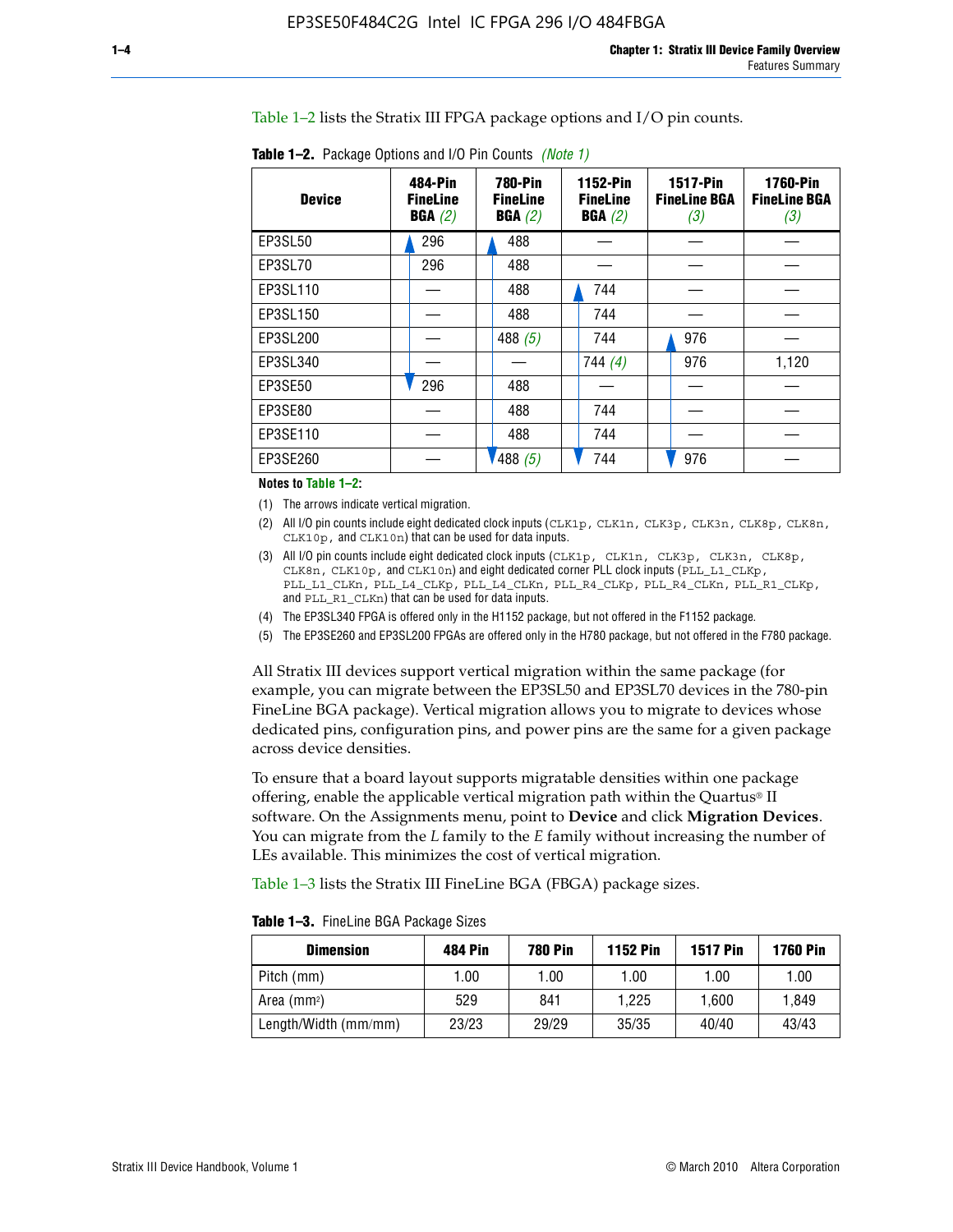Table 1–2 lists the Stratix III FPGA package options and I/O pin counts.

| <b>Device</b>  | 484-Pin<br><b>FineLine</b><br>BGA(2) | <b>780-Pin</b><br><b>FineLine</b><br>BGA(2) | 1152-Pin<br><b>FineLine</b><br>BGA(2) | <b>1517-Pin</b><br><b>FineLine BGA</b><br>(3) | <b>1760-Pin</b><br><b>FineLine BGA</b><br>(3) |
|----------------|--------------------------------------|---------------------------------------------|---------------------------------------|-----------------------------------------------|-----------------------------------------------|
| EP3SL50        | 296                                  | 488                                         |                                       |                                               |                                               |
| EP3SL70        | 296                                  | 488                                         |                                       |                                               |                                               |
| EP3SL110       |                                      | 488                                         | 744                                   |                                               |                                               |
| EP3SL150       |                                      | 488                                         | 744                                   |                                               |                                               |
| EP3SL200       |                                      | 488 $(5)$                                   | 744                                   | 976                                           |                                               |
| EP3SL340       |                                      |                                             | 744 $(4)$                             | 976                                           | 1,120                                         |
| <b>EP3SE50</b> | 296                                  | 488                                         |                                       |                                               |                                               |
| EP3SE80        |                                      | 488                                         | 744                                   |                                               |                                               |
| EP3SE110       |                                      | 488                                         | 744                                   |                                               |                                               |
| EP3SE260       |                                      | $'$ 488 (5)                                 | 744                                   | 976                                           |                                               |

**Table 1–2.** Package Options and I/O Pin Counts *(Note 1)*

**Notes to Table 1–2:**

(1) The arrows indicate vertical migration.

- (2) All I/O pin counts include eight dedicated clock inputs (CLK1p, CLK1n, CLK3p, CLK3n, CLK8p, CLK8n, CLK10p, and CLK10n) that can be used for data inputs.
- (3) All I/O pin counts include eight dedicated clock inputs (CLK1p, CLK1n, CLK3p, CLK3n, CLK8p, CLK8n, CLK10p, and CLK10n) and eight dedicated corner PLL clock inputs (PLL\_L1\_CLKp, PLL\_L1\_CLKn, PLL\_L4\_CLKp, PLL\_L4\_CLKn, PLL\_R4\_CLKp, PLL\_R4\_CLKn, PLL\_R1\_CLKp, and PLL\_R1\_CLKn) that can be used for data inputs.
- (4) The EP3SL340 FPGA is offered only in the H1152 package, but not offered in the F1152 package.
- (5) The EP3SE260 and EP3SL200 FPGAs are offered only in the H780 package, but not offered in the F780 package.

All Stratix III devices support vertical migration within the same package (for example, you can migrate between the EP3SL50 and EP3SL70 devices in the 780-pin FineLine BGA package). Vertical migration allows you to migrate to devices whose dedicated pins, configuration pins, and power pins are the same for a given package across device densities.

To ensure that a board layout supports migratable densities within one package offering, enable the applicable vertical migration path within the Quartus® II software. On the Assignments menu, point to **Device** and click **Migration Devices**. You can migrate from the *L* family to the *E* family without increasing the number of LEs available. This minimizes the cost of vertical migration.

Table 1–3 lists the Stratix III FineLine BGA (FBGA) package sizes.

|  |  | <b>Table 1-3.</b> FineLine BGA Package Sizes |
|--|--|----------------------------------------------|
|--|--|----------------------------------------------|

| <b>Dimension</b>     | 484 Pin | 780 Pin | <b>1152 Pin</b> | <b>1517 Pin</b> | <b>1760 Pin</b> |
|----------------------|---------|---------|-----------------|-----------------|-----------------|
| Pitch (mm)           | 1.00    | 00. ا   | 1.00            | 1.00            | 1.00            |
| Area $(mm2)$         | 529     | 841     | 1.225           | 1.600           | 1.849           |
| Length/Width (mm/mm) | 23/23   | 29/29   | 35/35           | 40/40           | 43/43           |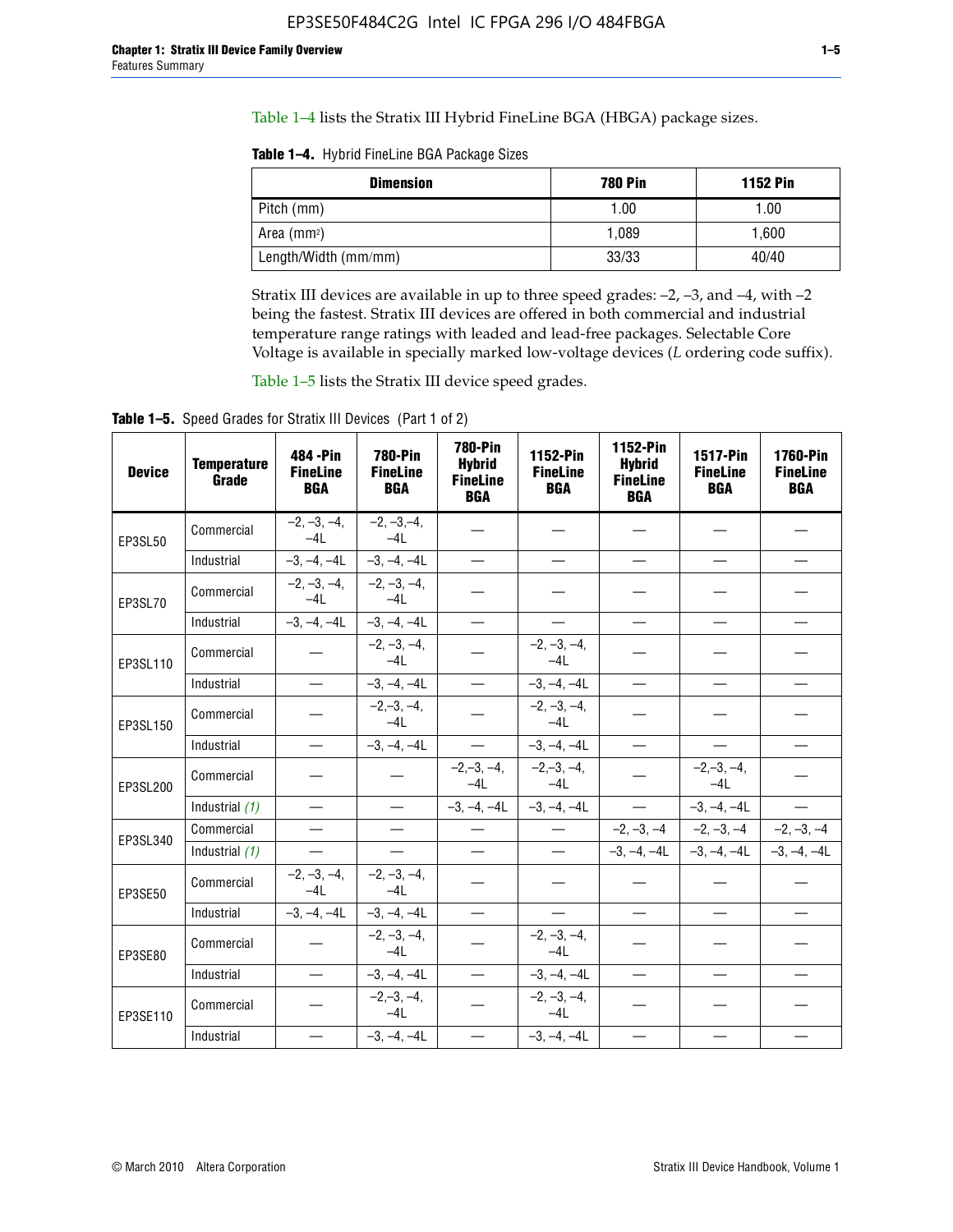Table 1–4 lists the Stratix III Hybrid FineLine BGA (HBGA) package sizes.

**Table 1–4.** Hybrid FineLine BGA Package Sizes

| <b>Dimension</b>     | <b>780 Pin</b> | <b>1152 Pin</b> |
|----------------------|----------------|-----------------|
| Pitch (mm)           | 1.00           | 1.00            |
| Area $(mm^2)$        | 1.089          | 1.600           |
| Length/Width (mm/mm) | 33/33          | 40/40           |

Stratix III devices are available in up to three speed grades: –2, –3, and –4, with –2 being the fastest. Stratix III devices are offered in both commercial and industrial temperature range ratings with leaded and lead-free packages. Selectable Core Voltage is available in specially marked low-voltage devices (*L* ordering code suffix).

Table 1–5 lists the Stratix III device speed grades.

Table 1-5. Speed Grades for Stratix III Devices (Part 1 of 2)

| <b>Device</b> | <b>Temperature</b><br>Grade | 484 - Pin<br><b>FineLine</b><br><b>BGA</b> | <b>780-Pin</b><br><b>FineLine</b><br><b>BGA</b> | <b>780-Pin</b><br><b>Hybrid</b><br><b>FineLine</b><br><b>BGA</b> | 1152-Pin<br><b>FineLine</b><br><b>BGA</b> | 1152-Pin<br><b>Hybrid</b><br><b>FineLine</b><br><b>BGA</b> | 1517-Pin<br><b>FineLine</b><br><b>BGA</b> | 1760-Pin<br><b>FineLine</b><br><b>BGA</b> |
|---------------|-----------------------------|--------------------------------------------|-------------------------------------------------|------------------------------------------------------------------|-------------------------------------------|------------------------------------------------------------|-------------------------------------------|-------------------------------------------|
| EP3SL50       | Commercial                  | $-2, -3, -4,$<br>$-4L$                     | $-2, -3, -4,$<br>$-4L$                          |                                                                  |                                           |                                                            |                                           |                                           |
|               | Industrial                  | $-3, -4, -4L$                              | $-3, -4, -4L$                                   | $\overline{\phantom{0}}$                                         | $\equiv$                                  | $\overline{\phantom{0}}$                                   |                                           | $\overline{\phantom{0}}$                  |
| EP3SL70       | Commercial                  | $-2, -3, -4,$<br>$-4L$                     | $-2, -3, -4,$<br>$-41$                          |                                                                  |                                           |                                                            |                                           |                                           |
|               | Industrial                  | $-3, -4, -4L$                              | $-3, -4, -4L$                                   | $\overbrace{\phantom{1232211}}$                                  |                                           | $\overline{\phantom{0}}$                                   | $\overline{\phantom{0}}$                  | $\overline{\phantom{0}}$                  |
| EP3SL110      | Commercial                  |                                            | $-2, -3, -4,$<br>$-4L$                          |                                                                  | $-2, -3, -4,$<br>$-4L$                    |                                                            |                                           |                                           |
|               | Industrial                  | $\equiv$                                   | $-3, -4, -4L$                                   | $\frac{1}{1}$                                                    | $-3, -4, -4L$                             | $\frac{1}{2}$                                              |                                           | $\overline{\phantom{0}}$                  |
| EP3SL150      | Commercial                  |                                            | $-2, -3, -4,$<br>$-41$                          |                                                                  | $-2, -3, -4,$<br>$-41$                    |                                                            |                                           |                                           |
|               | Industrial                  | $\overline{\phantom{m}}$                   | $-3, -4, -4L$                                   | $\equiv$                                                         | $-3, -4, -4L$                             | $\overline{\phantom{m}}$                                   |                                           | $\overbrace{\phantom{12322111}}$          |
| EP3SL200      | Commercial                  |                                            |                                                 | $-2, -3, -4,$<br>$-4L$                                           | $-2, -3, -4,$<br>$-4L$                    |                                                            | $-2,-3,-4,$<br>$-4L$                      |                                           |
|               | Industrial (1)              | $\equiv$                                   | $\equiv$                                        | $-3, -4, -4L$                                                    | $-3, -4, -4L$                             | $\equiv$                                                   | $-3, -4, -4L$                             | $\equiv$                                  |
| EP3SL340      | Commercial                  |                                            | $\equiv$                                        |                                                                  | $\overline{\phantom{m}}$                  |                                                            | $-2, -3, -4$ $-2, -3, -4$                 | $-2, -3, -4$                              |
|               | Industrial (1)              |                                            | $\equiv$                                        | $\qquad \qquad -$                                                | $\overline{\phantom{0}}$                  |                                                            | $-3, -4, -4$ $-3, -4, -4$                 | $-3, -4, -4L$                             |
| EP3SE50       | Commercial                  | $-2, -3, -4,$<br>$-4L$                     | $-2, -3, -4,$<br>$-4L$                          |                                                                  |                                           |                                                            |                                           |                                           |
|               | Industrial                  | $-3, -4, -4L$                              | $-3, -4, -4L$                                   |                                                                  | $\overline{\phantom{0}}$                  |                                                            | $\overline{\phantom{0}}$                  | $\overline{\phantom{0}}$                  |
| EP3SE80       | Commercial                  |                                            | $-2, -3, -4,$<br>$-41$                          |                                                                  | $-2, -3, -4,$<br>$-4L$                    |                                                            |                                           |                                           |
|               | Industrial                  | $\overline{\phantom{m}}$                   | $-3, -4, -4L$                                   |                                                                  | $-3, -4, -4L$                             |                                                            | $\equiv$                                  |                                           |
| EP3SE110      | Commercial                  |                                            | $-2, -3, -4,$<br>$-4L$                          |                                                                  | $-2, -3, -4,$<br>$-4L$                    |                                                            |                                           |                                           |
|               | Industrial                  |                                            | $-3, -4, -4L$                                   | $\equiv$                                                         | $-3, -4, -4L$                             |                                                            |                                           |                                           |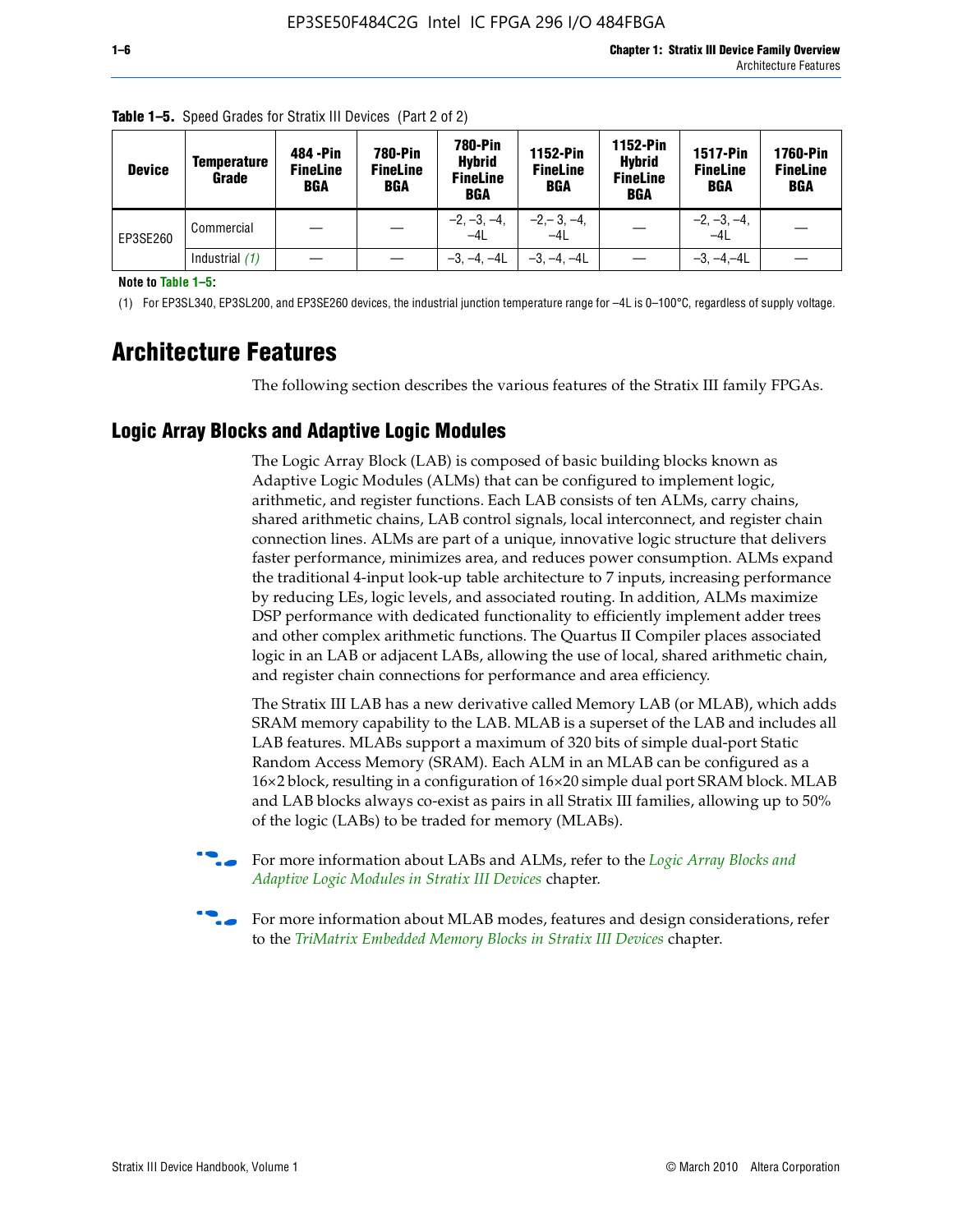| <b>Device</b> | Temperature<br>Grade | 484 - Pin<br><b>FineLine</b><br><b>BGA</b> | 780-Pin<br><b>FineLine</b><br>BGA | 780-Pin<br><b>Hybrid</b><br><b>FineLine</b><br><b>BGA</b> | 1152-Pin<br><b>FineLine</b><br><b>BGA</b> | 1152-Pin<br><b>Hybrid</b><br><b>FineLine</b><br><b>BGA</b> | <b>1517-Pin</b><br><b>FineLine</b><br>BGA | 1760-Pin<br><b>FineLine</b><br>BGA |
|---------------|----------------------|--------------------------------------------|-----------------------------------|-----------------------------------------------------------|-------------------------------------------|------------------------------------------------------------|-------------------------------------------|------------------------------------|
| EP3SE260      | Commercial           |                                            |                                   | $-2, -3, -4,$<br>$-4L$                                    | $-2, -3, -4,$<br>$-4L$                    |                                                            | $-2, -3, -4,$<br>$-4L$                    |                                    |
|               | Industrial $(1)$     |                                            |                                   | $-3, -4, -4L$                                             | $-3, -4, -4L$                             |                                                            | $-3, -4, -4L$                             |                                    |

**Table 1–5.** Speed Grades for Stratix III Devices (Part 2 of 2)

**Note to Table 1–5:**

(1) For EP3SL340, EP3SL200, and EP3SE260 devices, the industrial junction temperature range for –4L is 0–100°C, regardless of supply voltage.

# **Architecture Features**

The following section describes the various features of the Stratix III family FPGAs.

# **Logic Array Blocks and Adaptive Logic Modules**

The Logic Array Block (LAB) is composed of basic building blocks known as Adaptive Logic Modules (ALMs) that can be configured to implement logic, arithmetic, and register functions. Each LAB consists of ten ALMs, carry chains, shared arithmetic chains, LAB control signals, local interconnect, and register chain connection lines. ALMs are part of a unique, innovative logic structure that delivers faster performance, minimizes area, and reduces power consumption. ALMs expand the traditional 4-input look-up table architecture to 7 inputs, increasing performance by reducing LEs, logic levels, and associated routing. In addition, ALMs maximize DSP performance with dedicated functionality to efficiently implement adder trees and other complex arithmetic functions. The Quartus II Compiler places associated logic in an LAB or adjacent LABs, allowing the use of local, shared arithmetic chain, and register chain connections for performance and area efficiency.

The Stratix III LAB has a new derivative called Memory LAB (or MLAB), which adds SRAM memory capability to the LAB. MLAB is a superset of the LAB and includes all LAB features. MLABs support a maximum of 320 bits of simple dual-port Static Random Access Memory (SRAM). Each ALM in an MLAB can be configured as a 16×2 block, resulting in a configuration of 16×20 simple dual port SRAM block. MLAB and LAB blocks always co-exist as pairs in all Stratix III families, allowing up to 50% of the logic (LABs) to be traded for memory (MLABs).



f For more information about LABs and ALMs, refer to the *[Logic Array Blocks and](http://www.altera.com/literature/hb/stx3/stx3_siii51002.pdf)  [Adaptive Logic Modules in Stratix III Devices](http://www.altera.com/literature/hb/stx3/stx3_siii51002.pdf)* chapter.



For more information about MLAB modes, features and design considerations, refer to the *[TriMatrix Embedded Memory Blocks in Stratix III Devices](http://www.altera.com/literature/hb/stx3/stx3_siii51004.pdf)* chapter.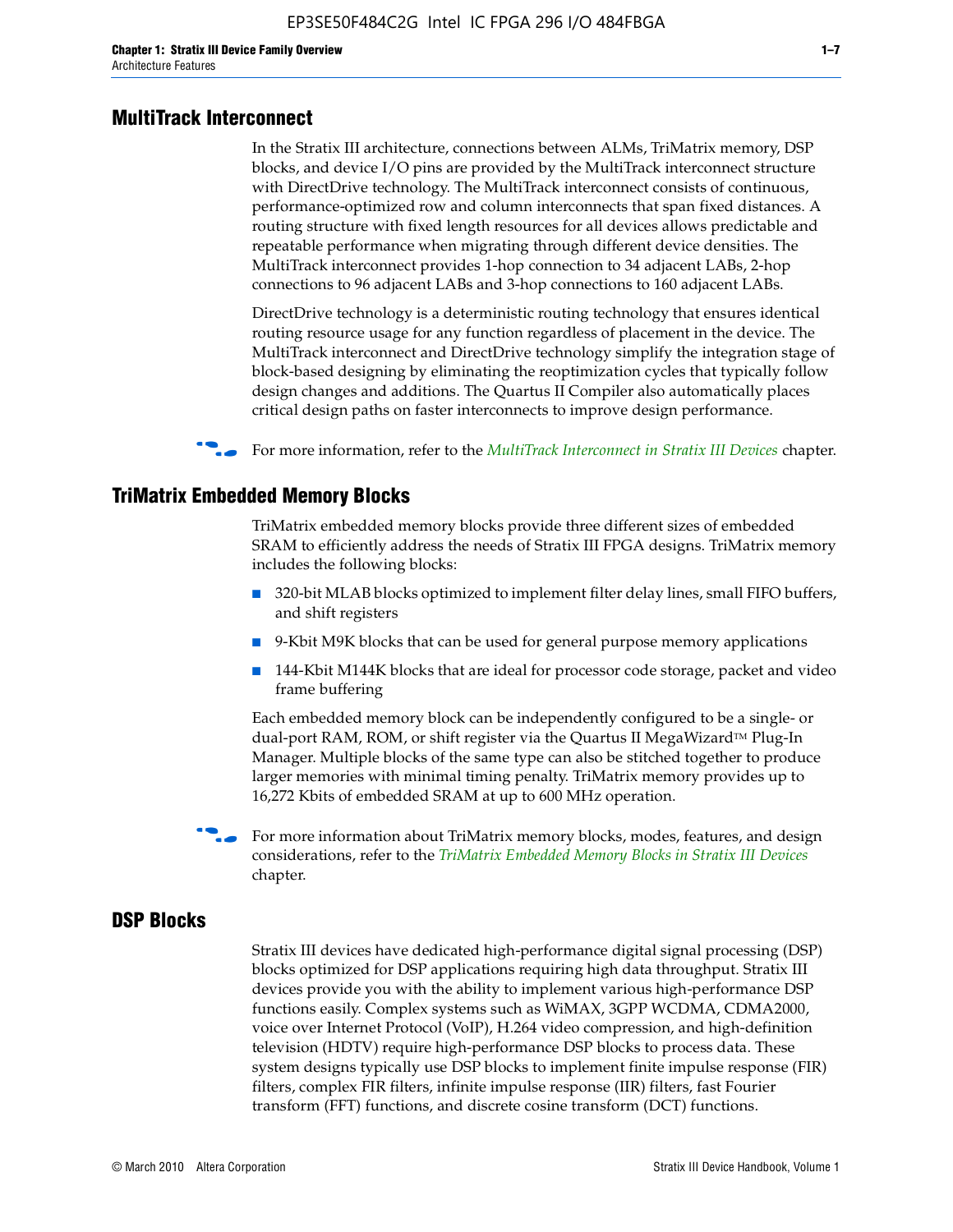#### **MultiTrack Interconnect**

In the Stratix III architecture, connections between ALMs, TriMatrix memory, DSP blocks, and device I/O pins are provided by the MultiTrack interconnect structure with DirectDrive technology. The MultiTrack interconnect consists of continuous, performance-optimized row and column interconnects that span fixed distances. A routing structure with fixed length resources for all devices allows predictable and repeatable performance when migrating through different device densities. The MultiTrack interconnect provides 1-hop connection to 34 adjacent LABs, 2-hop connections to 96 adjacent LABs and 3-hop connections to 160 adjacent LABs.

DirectDrive technology is a deterministic routing technology that ensures identical routing resource usage for any function regardless of placement in the device. The MultiTrack interconnect and DirectDrive technology simplify the integration stage of block-based designing by eliminating the reoptimization cycles that typically follow design changes and additions. The Quartus II Compiler also automatically places critical design paths on faster interconnects to improve design performance.

#### f For more information, refer to the *[MultiTrack Interconnect in Stratix III Devices](http://www.altera.com/literature/hb/stx3/stx3_siii51003.pdf)* chapter.

#### **TriMatrix Embedded Memory Blocks**

TriMatrix embedded memory blocks provide three different sizes of embedded SRAM to efficiently address the needs of Stratix III FPGA designs. TriMatrix memory includes the following blocks:

- 320-bit MLAB blocks optimized to implement filter delay lines, small FIFO buffers, and shift registers
- 9-Kbit M9K blocks that can be used for general purpose memory applications
- 144-Kbit M144K blocks that are ideal for processor code storage, packet and video frame buffering

Each embedded memory block can be independently configured to be a single- or dual-port RAM, ROM, or shift register via the Quartus II MegaWizard™ Plug-In Manager. Multiple blocks of the same type can also be stitched together to produce larger memories with minimal timing penalty. TriMatrix memory provides up to 16,272 Kbits of embedded SRAM at up to 600 MHz operation.

For more information about TriMatrix memory blocks, modes, features, and design considerations, refer to the *[TriMatrix Embedded Memory Blocks in Stratix III Devices](http://www.altera.com/literature/hb/stx3/stx3_siii51004.pdf)* chapter.

#### **DSP Blocks**

Stratix III devices have dedicated high-performance digital signal processing (DSP) blocks optimized for DSP applications requiring high data throughput. Stratix III devices provide you with the ability to implement various high-performance DSP functions easily. Complex systems such as WiMAX, 3GPP WCDMA, CDMA2000, voice over Internet Protocol (VoIP), H.264 video compression, and high-definition television (HDTV) require high-performance DSP blocks to process data. These system designs typically use DSP blocks to implement finite impulse response (FIR) filters, complex FIR filters, infinite impulse response (IIR) filters, fast Fourier transform (FFT) functions, and discrete cosine transform (DCT) functions.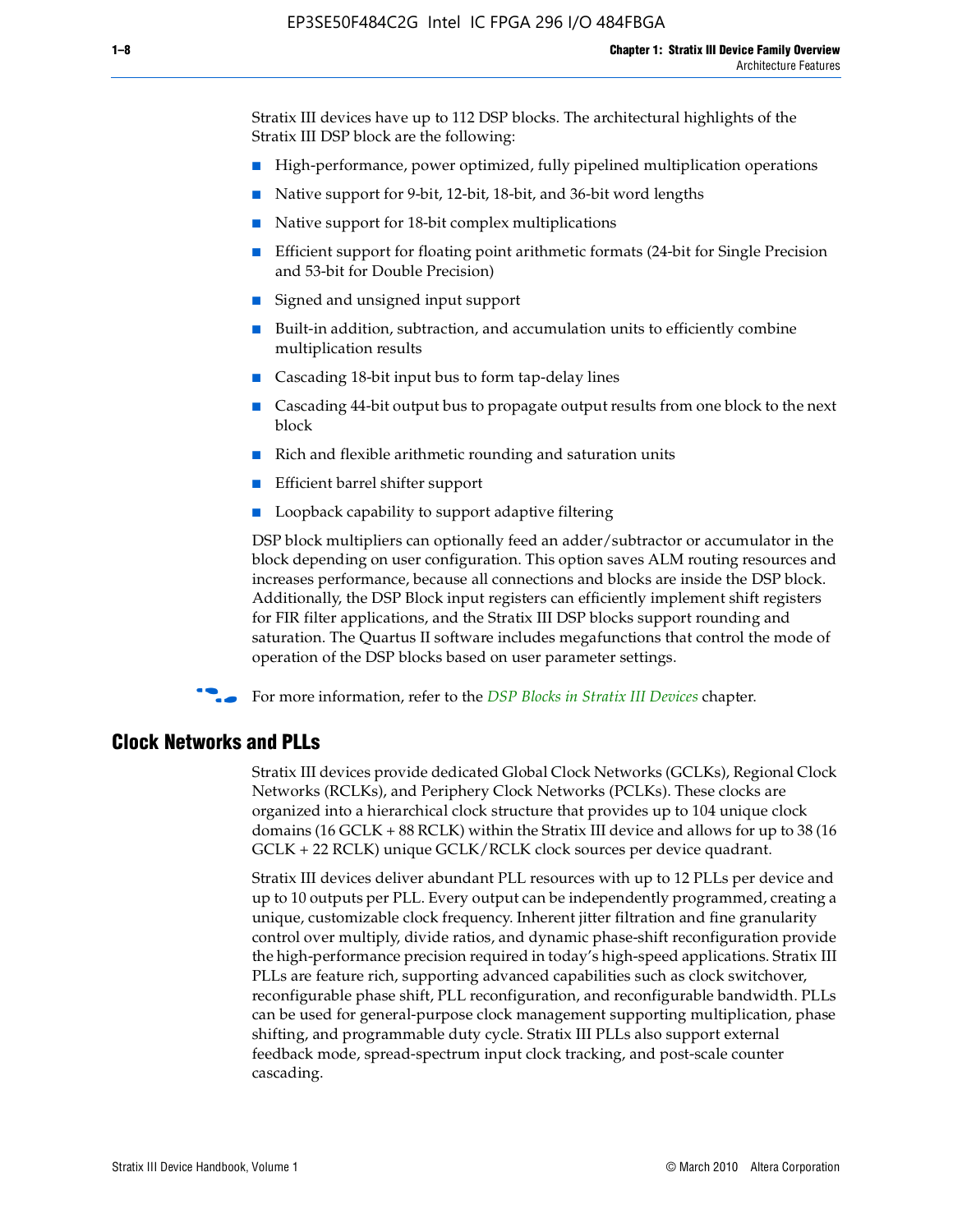Stratix III devices have up to 112 DSP blocks. The architectural highlights of the Stratix III DSP block are the following:

- High-performance, power optimized, fully pipelined multiplication operations
- Native support for 9-bit, 12-bit, 18-bit, and 36-bit word lengths
- Native support for 18-bit complex multiplications
- Efficient support for floating point arithmetic formats (24-bit for Single Precision and 53-bit for Double Precision)
- Signed and unsigned input support
- Built-in addition, subtraction, and accumulation units to efficiently combine multiplication results
- Cascading 18-bit input bus to form tap-delay lines
- Cascading 44-bit output bus to propagate output results from one block to the next block
- Rich and flexible arithmetic rounding and saturation units
- Efficient barrel shifter support
- Loopback capability to support adaptive filtering

DSP block multipliers can optionally feed an adder/subtractor or accumulator in the block depending on user configuration. This option saves ALM routing resources and increases performance, because all connections and blocks are inside the DSP block. Additionally, the DSP Block input registers can efficiently implement shift registers for FIR filter applications, and the Stratix III DSP blocks support rounding and saturation. The Quartus II software includes megafunctions that control the mode of operation of the DSP blocks based on user parameter settings.

f For more information, refer to the *[DSP Blocks in Stratix III Devices](http://www.altera.com/literature/hb/stx3/stx3_siii51005.pdf)* chapter.

#### **Clock Networks and PLLs**

Stratix III devices provide dedicated Global Clock Networks (GCLKs), Regional Clock Networks (RCLKs), and Periphery Clock Networks (PCLKs). These clocks are organized into a hierarchical clock structure that provides up to 104 unique clock domains (16 GCLK + 88 RCLK) within the Stratix III device and allows for up to 38 (16 GCLK + 22 RCLK) unique GCLK/RCLK clock sources per device quadrant.

Stratix III devices deliver abundant PLL resources with up to 12 PLLs per device and up to 10 outputs per PLL. Every output can be independently programmed, creating a unique, customizable clock frequency. Inherent jitter filtration and fine granularity control over multiply, divide ratios, and dynamic phase-shift reconfiguration provide the high-performance precision required in today's high-speed applications. Stratix III PLLs are feature rich, supporting advanced capabilities such as clock switchover, reconfigurable phase shift, PLL reconfiguration, and reconfigurable bandwidth. PLLs can be used for general-purpose clock management supporting multiplication, phase shifting, and programmable duty cycle. Stratix III PLLs also support external feedback mode, spread-spectrum input clock tracking, and post-scale counter cascading.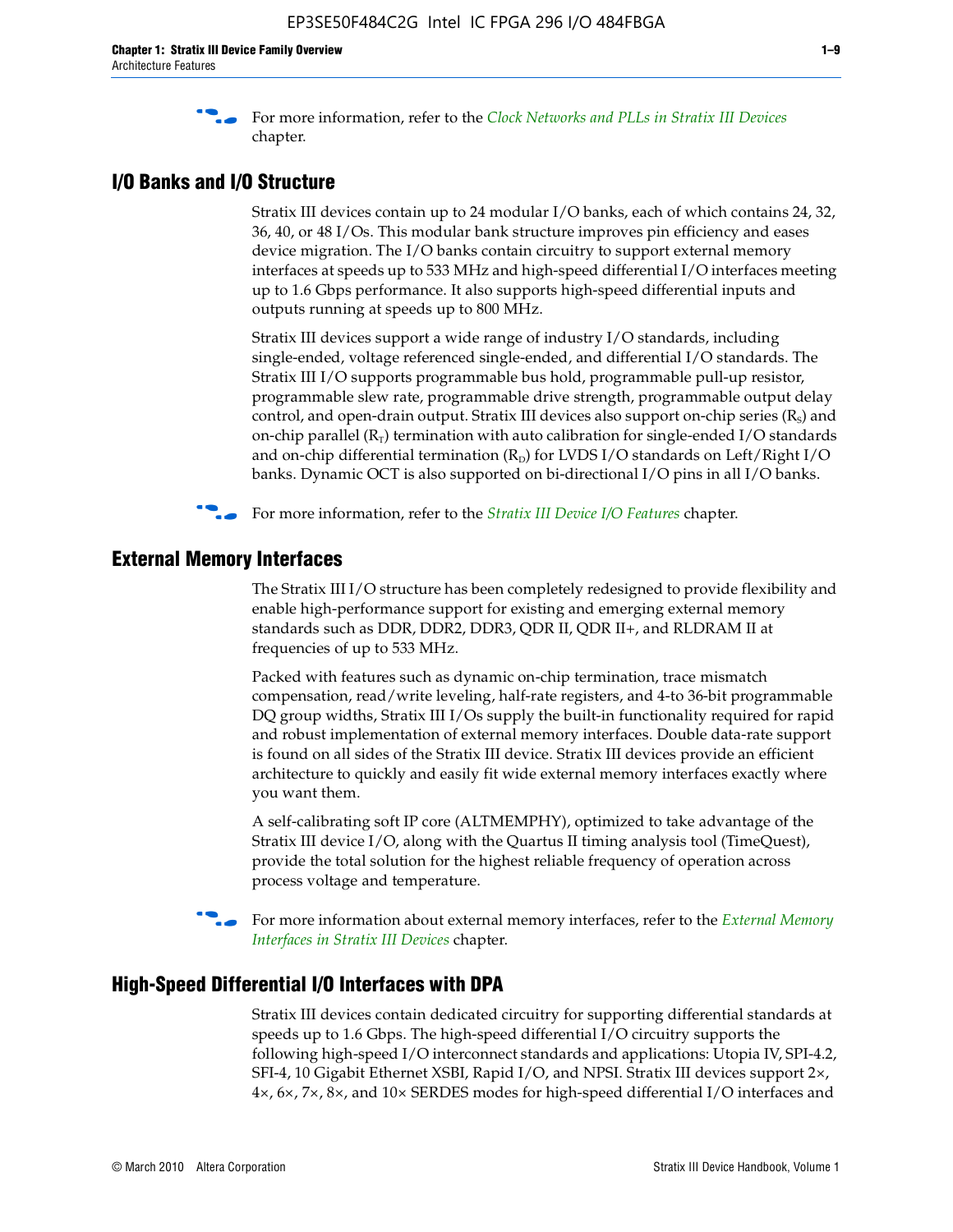f For more information, refer to the *[Clock Networks and PLLs in Stratix III Devices](http://www.altera.com/literature/hb/stx3/stx3_siii51006.pdf)* chapter.

# **I/O Banks and I/O Structure**

Stratix III devices contain up to 24 modular I/O banks, each of which contains 24, 32, 36, 40, or 48 I/Os. This modular bank structure improves pin efficiency and eases device migration. The I/O banks contain circuitry to support external memory interfaces at speeds up to 533 MHz and high-speed differential I/O interfaces meeting up to 1.6 Gbps performance. It also supports high-speed differential inputs and outputs running at speeds up to 800 MHz.

Stratix III devices support a wide range of industry I/O standards, including single-ended, voltage referenced single-ended, and differential I/O standards. The Stratix III I/O supports programmable bus hold, programmable pull-up resistor, programmable slew rate, programmable drive strength, programmable output delay control, and open-drain output. Stratix III devices also support on-chip series  $(R<sub>s</sub>)$  and on-chip parallel  $(R_T)$  termination with auto calibration for single-ended I/O standards and on-chip differential termination  $(R_D)$  for LVDS I/O standards on Left/Right I/O banks. Dynamic OCT is also supported on bi-directional I/O pins in all I/O banks.

**For more information, refer to the** *[Stratix III Device I/O Features](http://www.altera.com/literature/hb/stx3/stx3_siii51007.pdf)* **chapter.** 

# **External Memory Interfaces**

The Stratix III I/O structure has been completely redesigned to provide flexibility and enable high-performance support for existing and emerging external memory standards such as DDR, DDR2, DDR3, QDR II, QDR II+, and RLDRAM II at frequencies of up to 533 MHz.

Packed with features such as dynamic on-chip termination, trace mismatch compensation, read/write leveling, half-rate registers, and 4-to 36-bit programmable DQ group widths, Stratix III I/Os supply the built-in functionality required for rapid and robust implementation of external memory interfaces. Double data-rate support is found on all sides of the Stratix III device. Stratix III devices provide an efficient architecture to quickly and easily fit wide external memory interfaces exactly where you want them.

A self-calibrating soft IP core (ALTMEMPHY), optimized to take advantage of the Stratix III device I/O, along with the Quartus II timing analysis tool (TimeQuest), provide the total solution for the highest reliable frequency of operation across process voltage and temperature.

f For more information about external memory interfaces, refer to the *[External Memory](http://www.altera.com/literature/hb/stx3/stx3_siii51008.pdf)  [Interfaces in Stratix III Devices](http://www.altera.com/literature/hb/stx3/stx3_siii51008.pdf)* chapter.

### **High-Speed Differential I/O Interfaces with DPA**

Stratix III devices contain dedicated circuitry for supporting differential standards at speeds up to 1.6 Gbps. The high-speed differential I/O circuitry supports the following high-speed I/O interconnect standards and applications: Utopia IV, SPI-4.2, SFI-4, 10 Gigabit Ethernet XSBI, Rapid I/O, and NPSI. Stratix III devices support 2×, 4×, 6×, 7×, 8×, and 10× SERDES modes for high-speed differential I/O interfaces and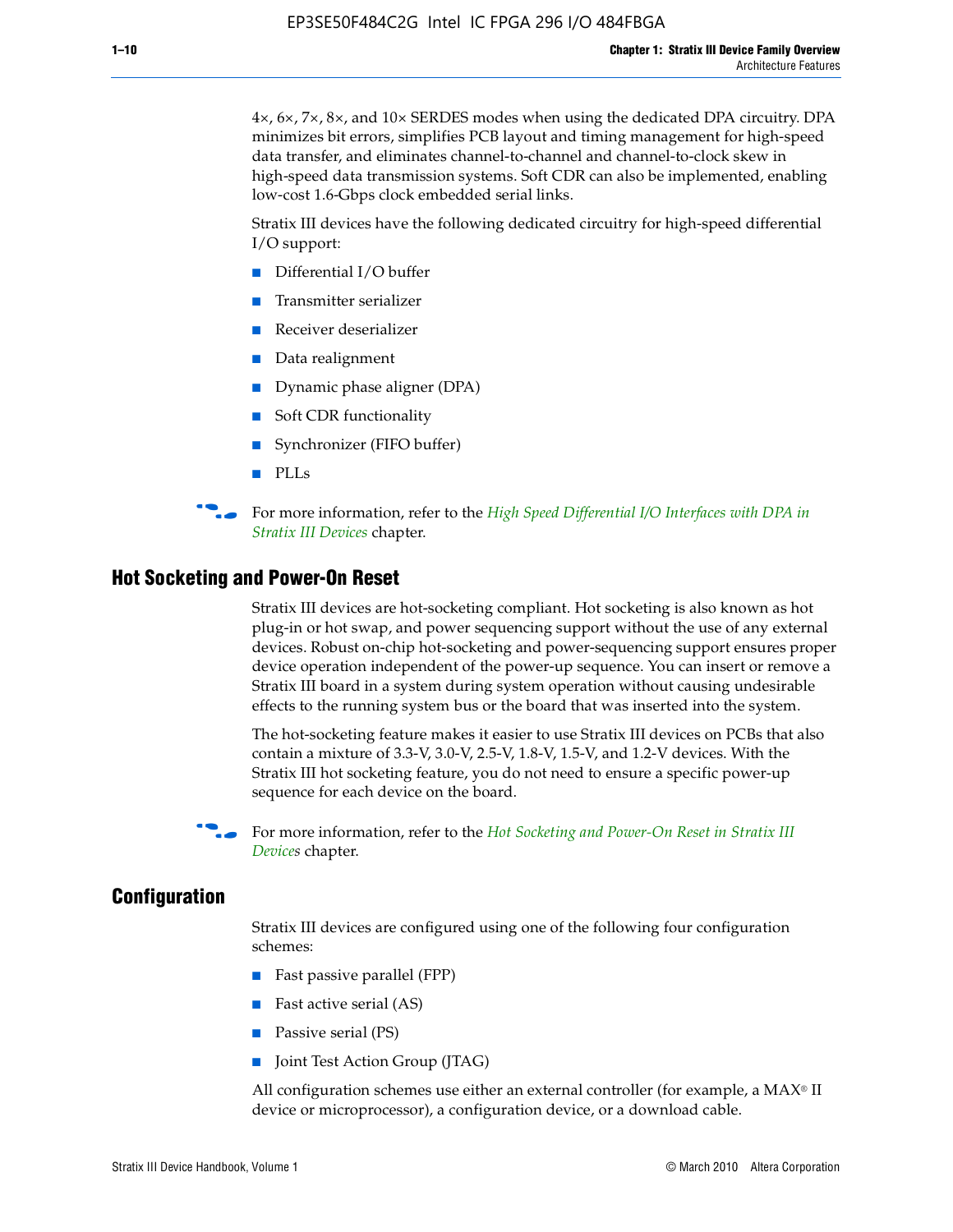4×, 6×, 7×, 8×, and 10× SERDES modes when using the dedicated DPA circuitry. DPA minimizes bit errors, simplifies PCB layout and timing management for high-speed data transfer, and eliminates channel-to-channel and channel-to-clock skew in high-speed data transmission systems. Soft CDR can also be implemented, enabling low-cost 1.6-Gbps clock embedded serial links.

Stratix III devices have the following dedicated circuitry for high-speed differential I/O support:

- Differential I/O buffer
- Transmitter serializer
- Receiver deserializer
- Data realignment
- Dynamic phase aligner (DPA)
- Soft CDR functionality
- Synchronizer (FIFO buffer)
- PLLs

**for more information, refer to the** *High Speed Differential I/O Interfaces with DPA in [Stratix III Devices](http://www.altera.com/literature/hb/stx3/stx3_siii51009.pdf)* chapter.

#### **Hot Socketing and Power-On Reset**

Stratix III devices are hot-socketing compliant. Hot socketing is also known as hot plug-in or hot swap, and power sequencing support without the use of any external devices. Robust on-chip hot-socketing and power-sequencing support ensures proper device operation independent of the power-up sequence. You can insert or remove a Stratix III board in a system during system operation without causing undesirable effects to the running system bus or the board that was inserted into the system.

The hot-socketing feature makes it easier to use Stratix III devices on PCBs that also contain a mixture of 3.3-V, 3.0-V, 2.5-V, 1.8-V, 1.5-V, and 1.2-V devices. With the Stratix III hot socketing feature, you do not need to ensure a specific power-up sequence for each device on the board.

f For more information, refer to the *[Hot Socketing and Power-On Reset in Stratix III](http://www.altera.com/literature/hb/stx3/stx3_siii51010.pdf)  [Device](http://www.altera.com/literature/hb/stx3/stx3_siii51010.pdf)s* chapter.

#### **Configuration**

Stratix III devices are configured using one of the following four configuration schemes:

- Fast passive parallel (FPP)
- Fast active serial (AS)
- Passive serial (PS)
- Joint Test Action Group (JTAG)

All configuration schemes use either an external controller (for example, a  $MAX<sup>®</sup>$  II device or microprocessor), a configuration device, or a download cable.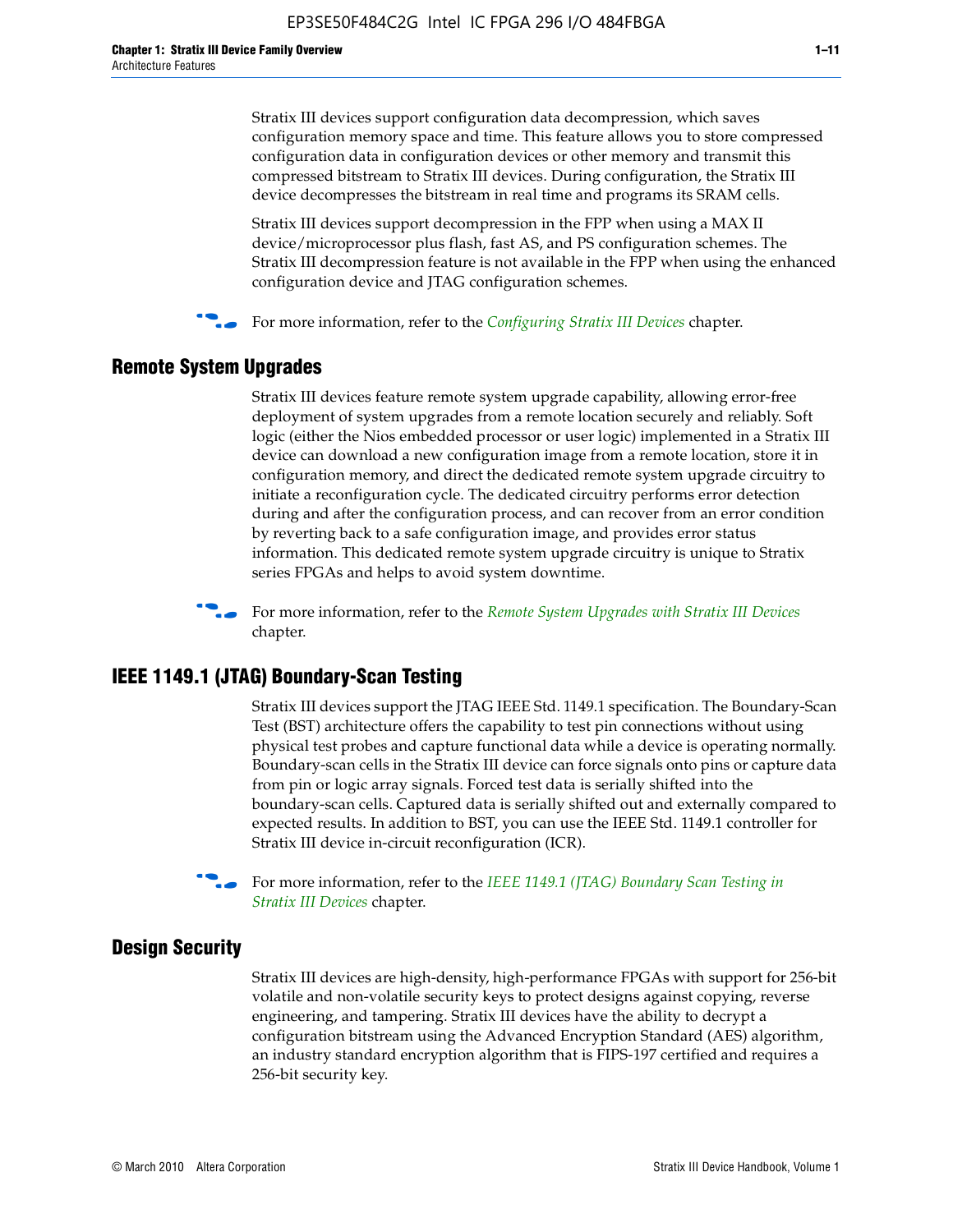Stratix III devices support configuration data decompression, which saves configuration memory space and time. This feature allows you to store compressed configuration data in configuration devices or other memory and transmit this compressed bitstream to Stratix III devices. During configuration, the Stratix III device decompresses the bitstream in real time and programs its SRAM cells.

Stratix III devices support decompression in the FPP when using a MAX II device/microprocessor plus flash, fast AS, and PS configuration schemes. The Stratix III decompression feature is not available in the FPP when using the enhanced configuration device and JTAG configuration schemes.

For more information, refer to the *[Configuring Stratix III Devices](http://www.altera.com/literature/hb/stx3/stx3_siii51011.pdf)* chapter.

# **Remote System Upgrades**

Stratix III devices feature remote system upgrade capability, allowing error-free deployment of system upgrades from a remote location securely and reliably. Soft logic (either the Nios embedded processor or user logic) implemented in a Stratix III device can download a new configuration image from a remote location, store it in configuration memory, and direct the dedicated remote system upgrade circuitry to initiate a reconfiguration cycle. The dedicated circuitry performs error detection during and after the configuration process, and can recover from an error condition by reverting back to a safe configuration image, and provides error status information. This dedicated remote system upgrade circuitry is unique to Stratix series FPGAs and helps to avoid system downtime.



**For more information, refer to the** *[Remote System Upgrades with Stratix III Devices](http://www.altera.com/literature/hb/stx3/stx3_siii51012.pdf)* chapter.

### **IEEE 1149.1 (JTAG) Boundary-Scan Testing**

Stratix III devices support the JTAG IEEE Std. 1149.1 specification. The Boundary-Scan Test (BST) architecture offers the capability to test pin connections without using physical test probes and capture functional data while a device is operating normally. Boundary-scan cells in the Stratix III device can force signals onto pins or capture data from pin or logic array signals. Forced test data is serially shifted into the boundary-scan cells. Captured data is serially shifted out and externally compared to expected results. In addition to BST, you can use the IEEE Std. 1149.1 controller for Stratix III device in-circuit reconfiguration (ICR).

For more information, refer to the *IEEE 1149.1 (JTAG) Boundary Scan Testing in [Stratix III Devices](http://www.altera.com/literature/hb/stx3/stx3_siii51013.pdf)* chapter.

# **Design Security**

Stratix III devices are high-density, high-performance FPGAs with support for 256-bit volatile and non-volatile security keys to protect designs against copying, reverse engineering, and tampering. Stratix III devices have the ability to decrypt a configuration bitstream using the Advanced Encryption Standard (AES) algorithm, an industry standard encryption algorithm that is FIPS-197 certified and requires a 256-bit security key.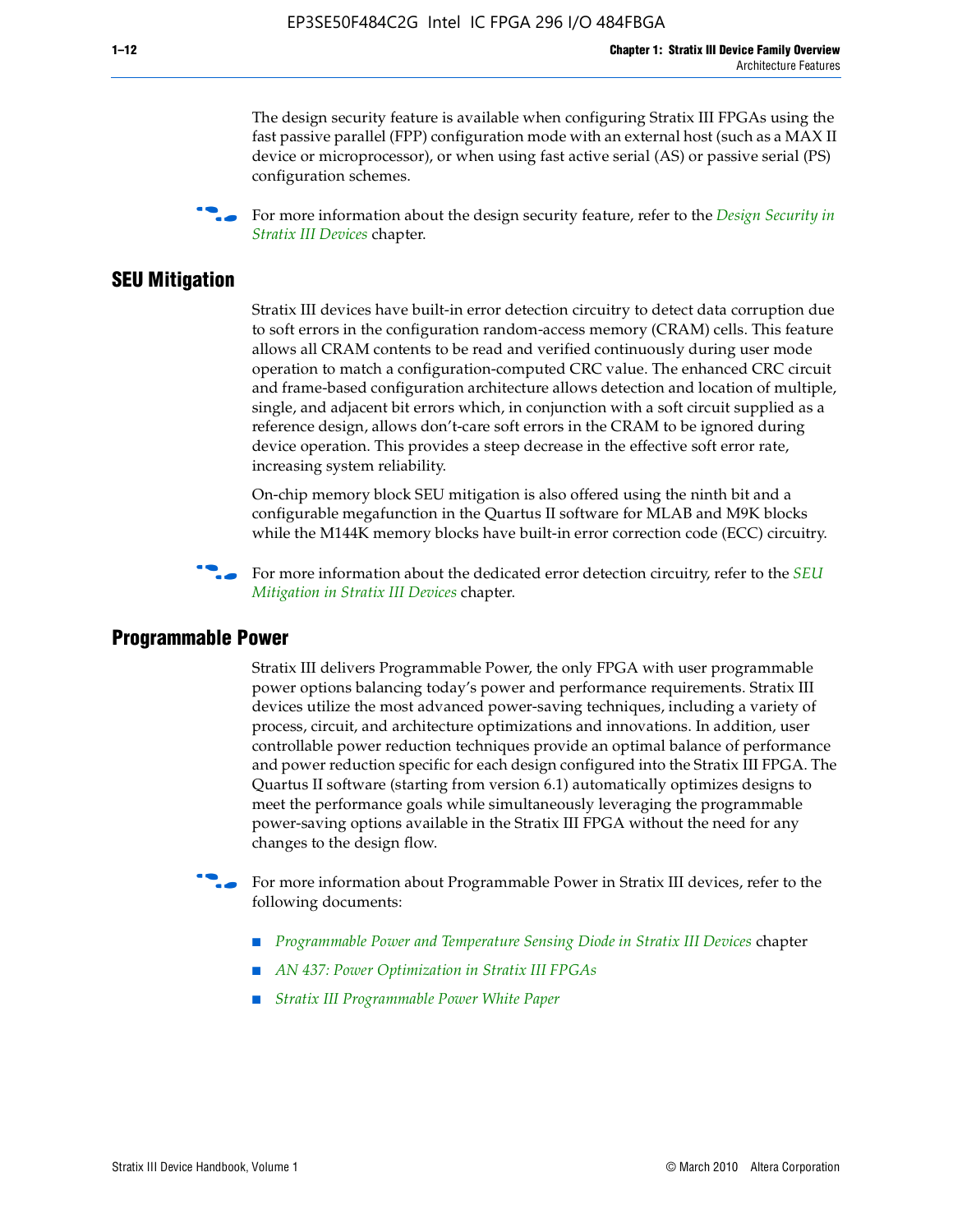The design security feature is available when configuring Stratix III FPGAs using the fast passive parallel (FPP) configuration mode with an external host (such as a MAX II device or microprocessor), or when using fast active serial (AS) or passive serial (PS) configuration schemes.

f For more information about the design security feature, refer to the *[Design Security in](http://www.altera.com/literature/hb/stx3/stx3_siii51014.pdf)  [Stratix III Devices](http://www.altera.com/literature/hb/stx3/stx3_siii51014.pdf)* chapter.

### **SEU Mitigation**

Stratix III devices have built-in error detection circuitry to detect data corruption due to soft errors in the configuration random-access memory (CRAM) cells. This feature allows all CRAM contents to be read and verified continuously during user mode operation to match a configuration-computed CRC value. The enhanced CRC circuit and frame-based configuration architecture allows detection and location of multiple, single, and adjacent bit errors which, in conjunction with a soft circuit supplied as a reference design, allows don't-care soft errors in the CRAM to be ignored during device operation. This provides a steep decrease in the effective soft error rate, increasing system reliability.

On-chip memory block SEU mitigation is also offered using the ninth bit and a configurable megafunction in the Quartus II software for MLAB and M9K blocks while the M144K memory blocks have built-in error correction code (ECC) circuitry.

For more information about the dedicated error detection circuitry, refer to the *SEU [Mitigation in Stratix III Devices](http://www.altera.com/literature/hb/stx3/stx3_siii51015.pdf)* chapter.

#### **Programmable Power**

Stratix III delivers Programmable Power, the only FPGA with user programmable power options balancing today's power and performance requirements. Stratix III devices utilize the most advanced power-saving techniques, including a variety of process, circuit, and architecture optimizations and innovations. In addition, user controllable power reduction techniques provide an optimal balance of performance and power reduction specific for each design configured into the Stratix III FPGA. The Quartus II software (starting from version 6.1) automatically optimizes designs to meet the performance goals while simultaneously leveraging the programmable power-saving options available in the Stratix III FPGA without the need for any changes to the design flow.

For more information about Programmable Power in Stratix III devices, refer to the following documents:

- *[Programmable Power and Temperature Sensing Diode in Stratix III Devices](http://www.altera.com/literature/hb/stx3/stx3_siii51016.pdf)* chapter
- *[AN 437: Power Optimization in Stratix III FPGAs](http://www.altera.com/literature/an/AN437.pdf)*
- *[Stratix III Programmable Power White Paper](http://www.altera.com/literature/wp/wp-01006.pdf)*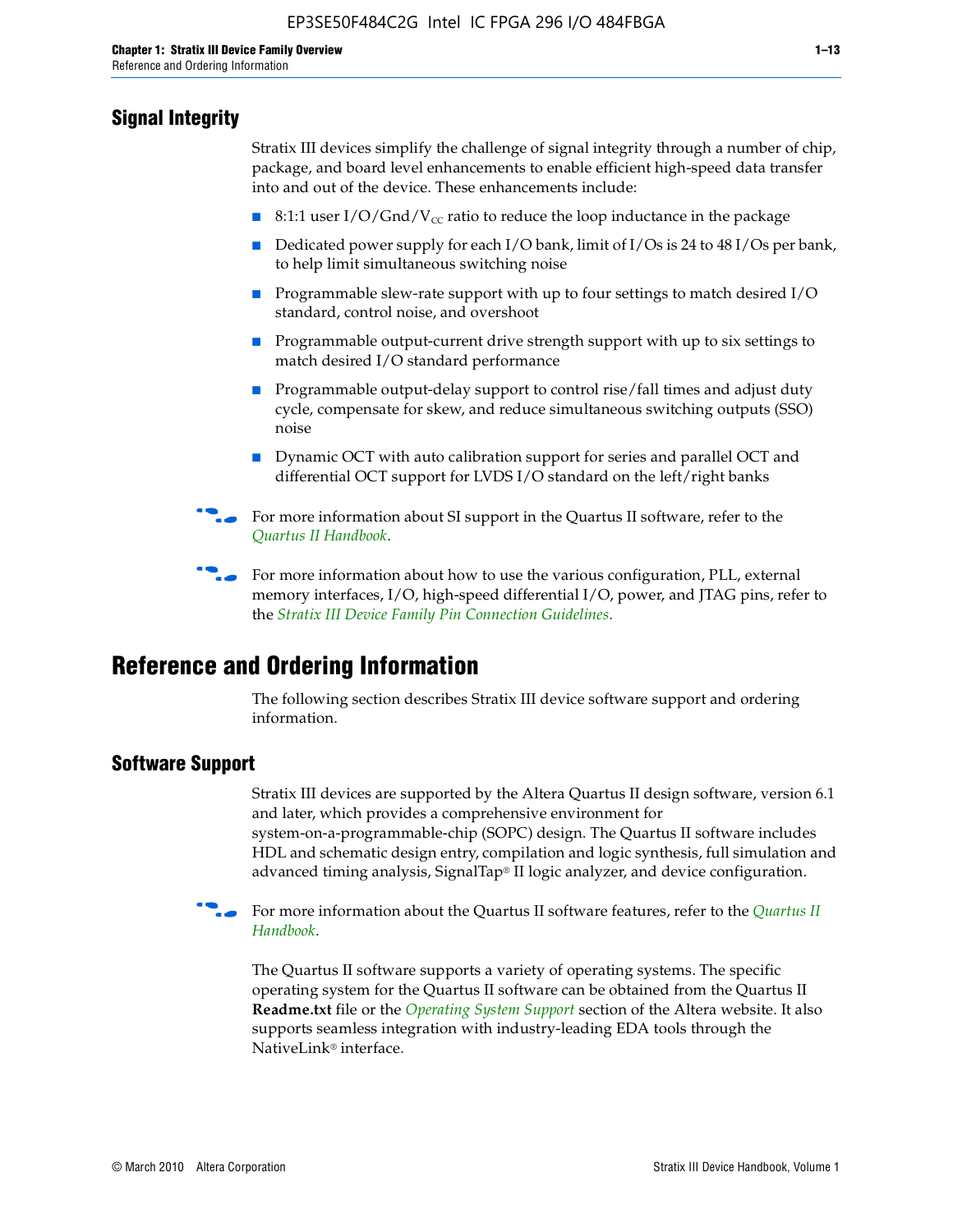# **Signal Integrity**

Stratix III devices simplify the challenge of signal integrity through a number of chip, package, and board level enhancements to enable efficient high-speed data transfer into and out of the device. These enhancements include:

- 8:1:1 user I/O/Gnd/V<sub>cc</sub> ratio to reduce the loop inductance in the package
- Dedicated power supply for each I/O bank, limit of I/Os is 24 to 48 I/Os per bank, to help limit simultaneous switching noise
- Programmable slew-rate support with up to four settings to match desired I/O standard, control noise, and overshoot
- Programmable output-current drive strength support with up to six settings to match desired I/O standard performance
- Programmable output-delay support to control rise/fall times and adjust duty cycle, compensate for skew, and reduce simultaneous switching outputs (SSO) noise
- Dynamic OCT with auto calibration support for series and parallel OCT and differential OCT support for LVDS I/O standard on the left/right banks
- For mor[e](http://www.altera.com/literature/hb/qts/quartusii_handbook.pdf) information about SI support in the Quartus II software, refer to the *[Quartus II Handbook](http://www.altera.com/literature/hb/qts/quartusii_handbook.pdf)*.

For more information about how to use the various configuration, PLL, external memory interfaces, I/O, high-speed differential I/O, power, and JTAG pins, refer to the *[Stratix III Device Family Pin Connection Guidelines](http://www.altera.com/literature/dp/stx3/PCG-01004.pdf)*.

# **Reference and Ordering Information**

The following section describes Stratix III device software support and ordering information.

# **Software Support**

Stratix III devices are supported by the Altera Quartus II design software, version 6.1 and later, which provides a comprehensive environment for system-on-a-programmable-chip (SOPC) design. The Quartus II software includes HDL and schematic design entry, compilation and logic synthesis, full simulation and advanced timing analysis, SignalTap® II logic analyzer, and device configuration.

**for more information about the [Quartus II](http://www.altera.com/literature/hb/qts/quartusii_handbook.pdf) software features, refer to the** *Quartus II* **<b>For all 2** *[Handbook](http://www.altera.com/literature/hb/qts/quartusii_handbook.pdf)*.

The Quartus II software supports a variety of operating systems. The specific operating system for the Quartus II software can be obtained from the Quartus II **Readme.txt** file or the *[Operating System Support](http://www.altera.com/support/software/os_support/oss-index.html)* section of the Altera website. It also supports seamless integration with industry-leading EDA tools through the NativeLink® interface.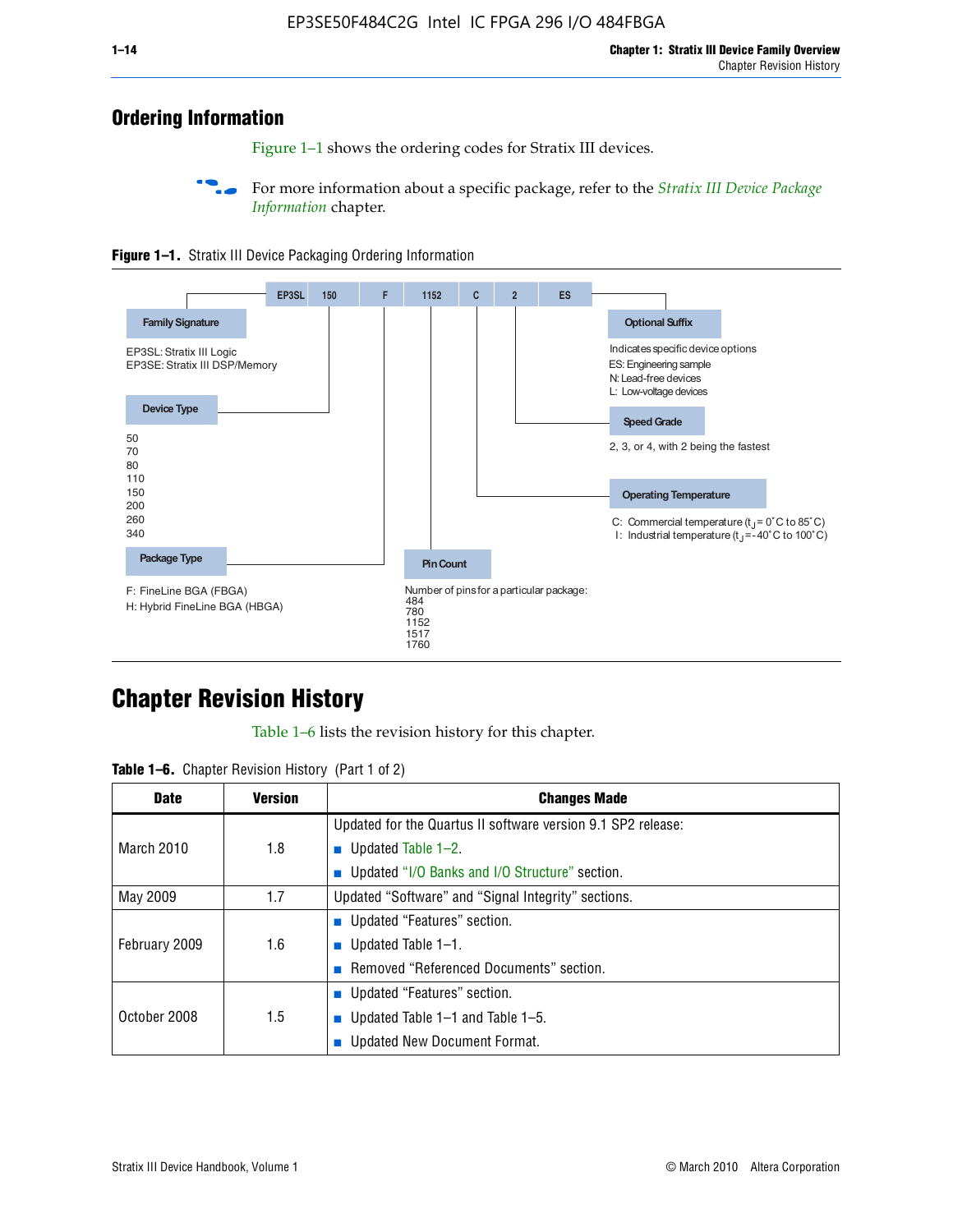# **Ordering Information**

Figure 1–1 shows the ordering codes for Stratix III devices.

For more information about a specific package, refer to the *Stratix III Device Package [Information](http://www.altera.com/literature/hb/stx3/stx3_siii51017.pdf)* chapter.





# **[C](http://www.altera.com/literature/hb/stx3/stx3_siii51012.pdf)hapter Revision History**

Table 1–6 lists the revision history for this chapter.

| <b>Table 1–6.</b> Chapter Revision History (Part 1 of 2) |  |  |  |  |  |
|----------------------------------------------------------|--|--|--|--|--|
|----------------------------------------------------------|--|--|--|--|--|

| <b>Date</b>       | <b>Version</b> | <b>Changes Made</b>                                          |
|-------------------|----------------|--------------------------------------------------------------|
|                   |                | Updated for the Quartus II software version 9.1 SP2 release: |
| <b>March 2010</b> | 1.8            | <b>u</b> Updated Table $1-2$ .                               |
|                   |                | ■ Updated "I/O Banks and I/O Structure" section.             |
| May 2009          | 1.7            | Updated "Software" and "Signal Integrity" sections.          |
|                   |                | Updated "Features" section.                                  |
| February 2009     | 1.6            | <b>u</b> Updated Table $1-1$ .                               |
|                   |                | Removed "Referenced Documents" section.                      |
|                   |                | ■ Updated "Features" section.                                |
| October 2008      | 1.5            | ■ Updated Table 1–1 and Table 1–5.                           |
|                   |                | <b>Updated New Document Format.</b>                          |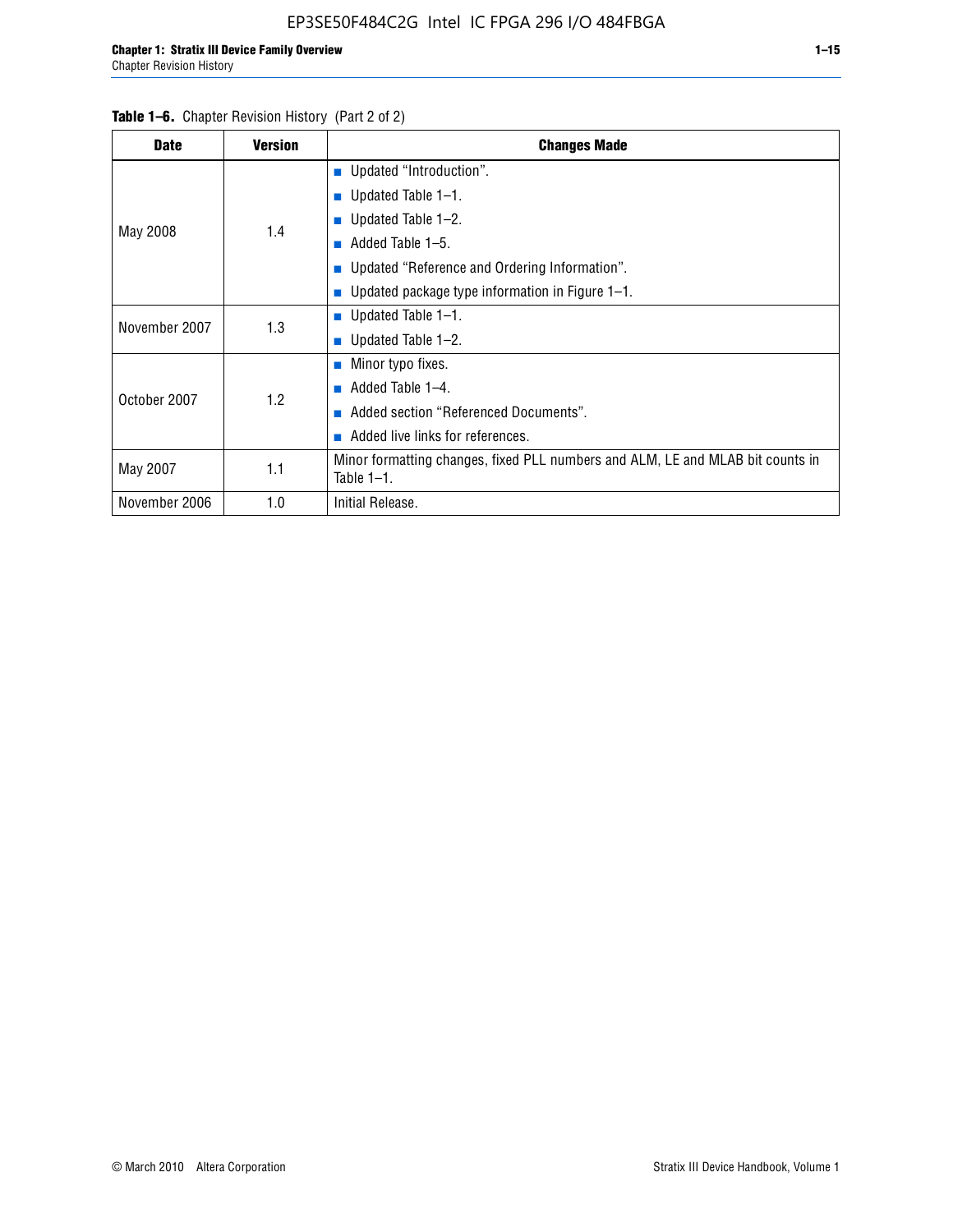#### Table 1–6. Chapter Revision History (Part 2 of 2)

| <b>Date</b>   | <b>Version</b> | <b>Changes Made</b>                                                                             |
|---------------|----------------|-------------------------------------------------------------------------------------------------|
|               |                | <b>Updated "Introduction".</b>                                                                  |
|               |                | ■ Updated Table $1-1$ .                                                                         |
| May 2008      | 1.4            | ■ Updated Table $1-2$ .                                                                         |
|               |                | Added Table 1-5.<br>ш                                                                           |
|               |                | ■ Updated "Reference and Ordering Information".                                                 |
|               |                | Updated package type information in Figure 1-1.                                                 |
| November 2007 | 1.3            | ■ Updated Table $1-1$ .                                                                         |
|               |                | $\blacksquare$ Updated Table 1-2.                                                               |
|               |                | ■ Minor typo fixes.                                                                             |
| October 2007  | 1.2            | Added Table 1-4.                                                                                |
|               |                | Added section "Referenced Documents".<br><b>COL</b>                                             |
|               |                | Added live links for references.                                                                |
| May 2007      | 1.1            | Minor formatting changes, fixed PLL numbers and ALM, LE and MLAB bit counts in<br>Table $1-1$ . |
| November 2006 | 1.0            | Initial Release.                                                                                |